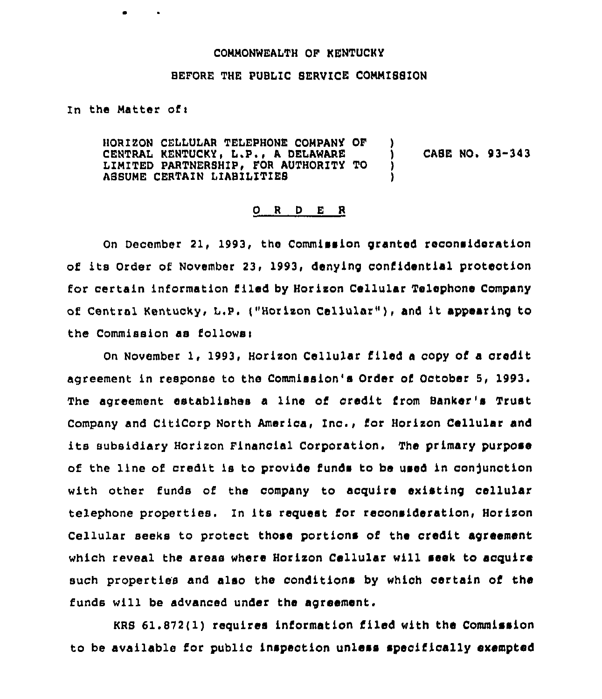## COMMONWEALTH OF KENTUCKY

## BEFORE THE PUBLIC SERVICE COMMISSION

In the Matter of:

HORIZON CELLULAR TELEPHONE COMPANY OF ) CENTRAL KENTUCKY, L.P., A DELAWARE LIMITED PARTNERSHIP< FOR AUTHORITY TO ASBUME CERTAIN LIABILITIES CASE NO. 93-343

## 0 <sup>R</sup> <sup>D</sup> E <sup>R</sup>

On December 21, 1993, the Commission granted reconsideration of its Order of November 23< 1993, denying confidential protection for certain information filed by Horixon Cellular Telephone Company of Central Kentucky, L.P. ("Horizon Cellular"), and it appearing to the Commission aa follows<

On November 1, 1993, Horixon Cellular filed <sup>a</sup> copy of a credit agreement in response to the Commission's Order of October 5, 1993. The agreement establishes a line of credit Crom Banker's Trust Company and CitiCorp North America, inc., for Horixon Cellular and ite subsidiary Horixon Financial Corporation. The primary purpose of the line of credit is to provide funds to be used in conjunction with other funds of the company to acquire existing cellular telephone properties. In its request ior reconsideration, Horixon Cellular seeks to protect those portions of the credit agreement which reveal the areas where Horixon Cellular will seek to acquire such properties and also the conditions by which certain of the funds will be advanced under the agreement.

KRS 61.872(1) requires information filed with the Commission to be available for publio inspeotion unless specifically exempted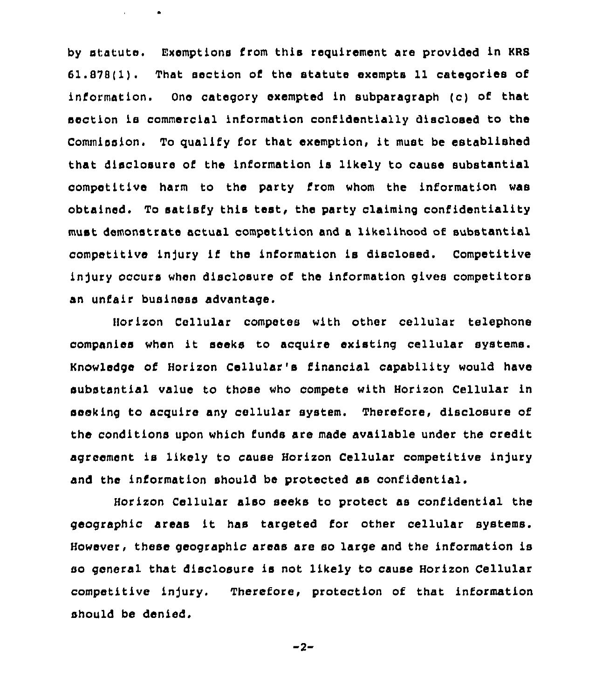by statute. Exemptions from this requirement are provided in KRS 61.878(1). That section of the statute exempts 11 categories of information. One category exempted in subparagraph (c) of that section ia commercial information confidentially disclosed to the Commission. To qualify for that exemption, it must be established that disclosure of the information is likely to cause substantial competitive harm to the party from whom the information was obtained. To satisfy this test, the party claiming confidentiality must demonstrate actual competition and a likelihood of substantial competitive injury if the information is disclosed. Competitive injury occurs when disclosure of the information gives competitors an unfair business advantage.

 $\bullet$ 

Horizon Cellular competes with other cellular telephone companies when it seeks to acquire existing cellular systems. Knowledge of Horizon Cellular's financial capability would have substantial value to those who compete with Horizon Cellular in seeking to acquire any cellular system. Therefore, disclosure of the conditions upon which funds are made available under the credit agreement is likely to cause Horizon Cellular competitive injury and the information should be protected as confidential.

Horizon Cellular also seeks to protect as confidential the geographic areas it has targeted for other cellular systems. However, these geographic areas are so large and the information is so general that disclosure is not likely to cause Horizon Cellular competitive injury. Therefore, protection of that information should be denied.

$$
-2
$$